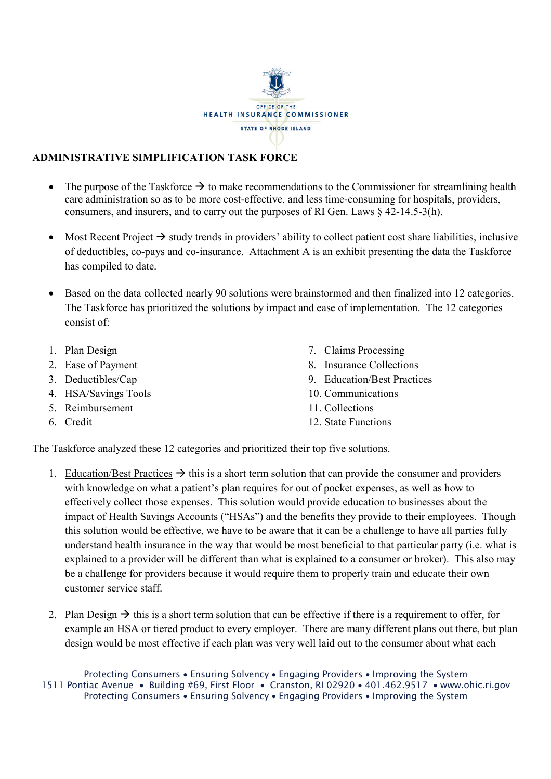

## **ADMINISTRATIVE SIMPLIFICATION TASK FORCE**

- The purpose of the Taskforce  $\rightarrow$  to make recommendations to the Commissioner for streamlining health care administration so as to be more cost-effective, and less time-consuming for hospitals, providers, consumers, and insurers, and to carry out the purposes of RI Gen. Laws § 42-14.5-3(h).
- Most Recent Project  $\rightarrow$  study trends in providers' ability to collect patient cost share liabilities, inclusive of deductibles, co-pays and co-insurance. Attachment A is an exhibit presenting the data the Taskforce has compiled to date.
- Based on the data collected nearly 90 solutions were brainstormed and then finalized into 12 categories. The Taskforce has prioritized the solutions by impact and ease of implementation. The 12 categories consist of:
- 1. Plan Design
- 2. Ease of Payment
- 3. Deductibles/Cap
- 4. HSA/Savings Tools
- 5. Reimbursement
- 6. Credit
- 7. Claims Processing
- 8. Insurance Collections
- 9. Education/Best Practices
- 10. Communications
- 11. Collections
- 12. State Functions

The Taskforce analyzed these 12 categories and prioritized their top five solutions.

- 1. Education/Best Practices  $\rightarrow$  this is a short term solution that can provide the consumer and providers with knowledge on what a patient's plan requires for out of pocket expenses, as well as how to effectively collect those expenses. This solution would provide education to businesses about the impact of Health Savings Accounts ("HSAs") and the benefits they provide to their employees. Though this solution would be effective, we have to be aware that it can be a challenge to have all parties fully understand health insurance in the way that would be most beneficial to that particular party (i.e. what is explained to a provider will be different than what is explained to a consumer or broker). This also may be a challenge for providers because it would require them to properly train and educate their own customer service staff.
- 2. Plan Design  $\rightarrow$  this is a short term solution that can be effective if there is a requirement to offer, for example an HSA or tiered product to every employer. There are many different plans out there, but plan design would be most effective if each plan was very well laid out to the consumer about what each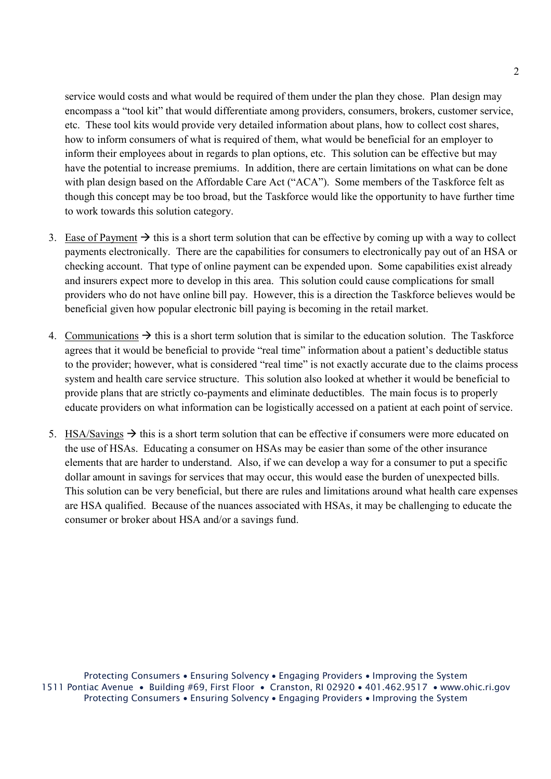service would costs and what would be required of them under the plan they chose. Plan design may encompass a "tool kit" that would differentiate among providers, consumers, brokers, customer service, etc. These tool kits would provide very detailed information about plans, how to collect cost shares, how to inform consumers of what is required of them, what would be beneficial for an employer to inform their employees about in regards to plan options, etc. This solution can be effective but may have the potential to increase premiums. In addition, there are certain limitations on what can be done with plan design based on the Affordable Care Act ("ACA"). Some members of the Taskforce felt as though this concept may be too broad, but the Taskforce would like the opportunity to have further time to work towards this solution category.

- 3. Ease of Payment  $\rightarrow$  this is a short term solution that can be effective by coming up with a way to collect payments electronically. There are the capabilities for consumers to electronically pay out of an HSA or checking account. That type of online payment can be expended upon. Some capabilities exist already and insurers expect more to develop in this area. This solution could cause complications for small providers who do not have online bill pay. However, this is a direction the Taskforce believes would be beneficial given how popular electronic bill paying is becoming in the retail market.
- 4. Communications  $\rightarrow$  this is a short term solution that is similar to the education solution. The Taskforce agrees that it would be beneficial to provide "real time" information about a patient's deductible status to the provider; however, what is considered "real time" is not exactly accurate due to the claims process system and health care service structure. This solution also looked at whether it would be beneficial to provide plans that are strictly co-payments and eliminate deductibles. The main focus is to properly educate providers on what information can be logistically accessed on a patient at each point of service.
- 5. HSA/Savings  $\rightarrow$  this is a short term solution that can be effective if consumers were more educated on the use of HSAs. Educating a consumer on HSAs may be easier than some of the other insurance elements that are harder to understand. Also, if we can develop a way for a consumer to put a specific dollar amount in savings for services that may occur, this would ease the burden of unexpected bills. This solution can be very beneficial, but there are rules and limitations around what health care expenses are HSA qualified. Because of the nuances associated with HSAs, it may be challenging to educate the consumer or broker about HSA and/or a savings fund.